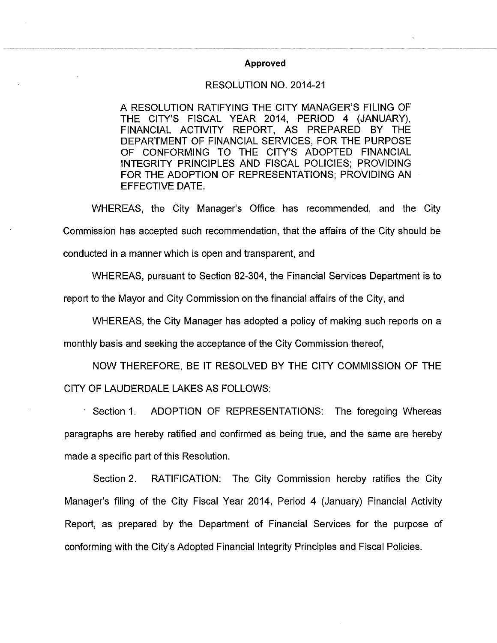## Approved

## RESOLUTION NO. 2014-21

A RESOLUTION RATIFYING THE CITY MANAGER'S FILING OF THE CITY'S FISCAL YEAR 2014, PERIOD 4 (JANUARY), FINANCIAL ACTIVITY REPORT, AS PREPARED BY THE DEPARTMENT OF FINANCIAL SERVICES, FOR THE PURPOSE OF CONFORMING TO THE CITY'S ADOPTED FINANCIAL INTEGRITY PRINCIPLES AND FISCAL POLICIES: PROVIDING FOR THE ADOPTION OF REPRESENTATIONS; PROVIDING AN EFFECTIVE DATE.

WHEREAS, the City Manager's Office has recommended, and the City Commission has accepted such recommendation, that the affairs of the City should be conducted in a manner which is open and transparent, and

WHEREAS, pursuant to Section 82-304, the Financial Services Department is to

report to the Mayor and City Commission on the financial affairs of the City, and

WHEREAS, the City Manager has adopted a policy of making such reports on a

monthly basis and seeking the acceptance of the City Commission thereof.

NOW THEREFORE, BE IT RESOLVED BY THE CITY COMMISSION OF THE CITY OF LAUDERDALE LAKES AS FOLLOWS:

ADOPTION OF REPRESENTATIONS: The foregoing Whereas Section 1. paragraphs are hereby ratified and confirmed as being true, and the same are hereby made a specific part of this Resolution.

Section 2. RATIFICATION: The City Commission hereby ratifies the City Manager's filing of the City Fiscal Year 2014, Period 4 (January) Financial Activity Report, as prepared by the Department of Financial Services for the purpose of conforming with the City's Adopted Financial Integrity Principles and Fiscal Policies.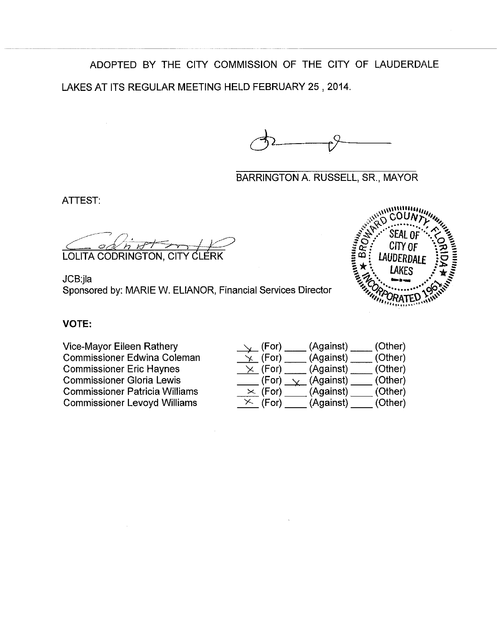ADOPTED BY THE CITY COMMISSION OF THE CITY OF LAUDERDALE LAKES AT ITS REGULAR MEETING HELD FEBRUARY 25, 2014.

**BARRINGTON A. RUSSELL, SR., MAYOR** 

ATTEST:

LOLITA CODRINGTON, CIT ERK

JCB jla Sponsored by: MARIE W. ELIANOR, Financial Services Director



## **VOTE:**

Vice-Mayor Eileen Rathery **Commissioner Edwina Coleman Commissioner Eric Haynes Commissioner Gloria Lewis Commissioner Patricia Williams Commissioner Levoyd Williams** 

| $\searrow$ (For). | (Against) | (Other) |
|-------------------|-----------|---------|
| $\times$ (For)    | (Against) | (Other) |
| $\times$ (For)    | (Against) | (Other) |
| (For)             | (Against) | (Other) |
| $\times$ (For)    | (Against) | (Other) |
| $\times$ (For)    | (Against) | (Other) |